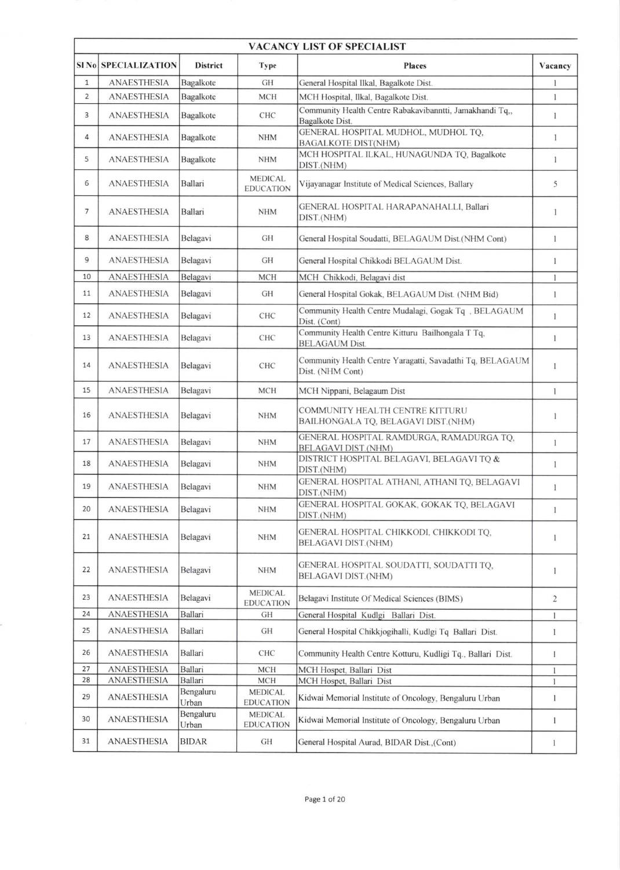| <b>VACANCY LIST OF SPECIALIST</b> |                            |                      |                                    |                                                                               |                |  |  |  |
|-----------------------------------|----------------------------|----------------------|------------------------------------|-------------------------------------------------------------------------------|----------------|--|--|--|
|                                   | <b>SINO SPECIALIZATION</b> | <b>District</b>      | Type                               | <b>Places</b>                                                                 | Vacancv        |  |  |  |
| $\mathbf{1}$                      | <b>ANAESTHESIA</b>         | Bagalkote            | GH                                 | General Hospital Ilkal, Bagalkote Dist.                                       | 1              |  |  |  |
| $\overline{2}$                    | <b>ANAESTHESIA</b>         | Bagalkote            | <b>MCH</b>                         | MCH Hospital, Ilkal, Bagalkote Dist.                                          | 1              |  |  |  |
| 3                                 | <b>ANAESTHESIA</b>         | Bagalkote            | <b>CHC</b>                         | Community Health Centre Rabakavibanntti, Jamakhandi Tq,,<br>Bagalkote Dist.   | 1              |  |  |  |
| 4                                 | <b>ANAESTHESIA</b>         | Bagalkote            | <b>NHM</b>                         | GENERAL HOSPITAL MUDHOL, MUDHOL TQ,<br><b>BAGALKOTE DIST(NHM)</b>             | $\mathbf{1}$   |  |  |  |
| 5                                 | <b>ANAESTHESIA</b>         | Bagalkote            | <b>NHM</b>                         | MCH HOSPITAL ILKAL, HUNAGUNDA TQ, Bagalkote<br>DIST.(NHM)                     | 1              |  |  |  |
| 6                                 | <b>ANAESTHESIA</b>         | Ballari              | <b>MEDICAL</b><br><b>EDUCATION</b> | Vijayanagar Institute of Medical Sciences, Ballary                            | 5              |  |  |  |
| 7                                 | <b>ANAESTHESIA</b>         | Ballari              | <b>NHM</b>                         | GENERAL HOSPITAL HARAPANAHALLI, Ballari<br>DIST.(NHM)                         | 1              |  |  |  |
| 8                                 | <b>ANAESTHESIA</b>         | Belagavi             | GH                                 | General Hospital Soudatti, BELAGAUM Dist.(NHM Cont)                           | 1              |  |  |  |
| 9                                 | <b>ANAESTHESIA</b>         | Belagavi             | GH                                 | General Hospital Chikkodi BELAGAUM Dist.                                      | 1              |  |  |  |
| 10                                | <b>ANAESTHESIA</b>         | Belagavi             | <b>MCH</b>                         | MCH Chikkodi, Belagavi dist                                                   | $\mathbf{I}$   |  |  |  |
| 11                                | <b>ANAESTHESIA</b>         | Belagavi             | GH                                 | General Hospital Gokak, BELAGAUM Dist. (NHM Bid)                              | 1              |  |  |  |
| 12                                | <b>ANAESTHESIA</b>         | Belagavi             | CHC                                | Community Health Centre Mudalagi, Gogak Tq , BELAGAUM<br>Dist. (Cont)         | 1              |  |  |  |
| 13                                | <b>ANAESTHESIA</b>         | Belagavi             | <b>CHC</b>                         | Community Health Centre Kitturu Bailhongala T Tq,<br><b>BELAGAUM Dist.</b>    | $\mathbf{1}$   |  |  |  |
| 14                                | <b>ANAESTHESIA</b>         | Belagavi             | <b>CHC</b>                         | Community Health Centre Yaragatti, Savadathi Tq, BELAGAUM<br>Dist. (NHM Cont) | 1              |  |  |  |
| 15                                | <b>ANAESTHESIA</b>         | Belagavi             | <b>MCH</b>                         | MCH Nippani, Belagaum Dist                                                    | $\mathbf{1}$   |  |  |  |
| 16                                | <b>ANAESTHESIA</b>         | Belagavi             | <b>NHM</b>                         | COMMUNITY HEALTH CENTRE KITTURU<br>BAILHONGALA TQ, BELAGAVI DIST.(NHM)        | 1              |  |  |  |
| 17                                | ANAESTHESIA                | Belagavi             | <b>NHM</b>                         | GENERAL HOSPITAL RAMDURGA, RAMADURGA TQ,<br><b>BELAGAVI DIST.(NHM)</b>        | 1              |  |  |  |
| 18                                | <b>ANAESTHESIA</b>         | Belagavi             | <b>NHM</b>                         | DISTRICT HOSPITAL BELAGAVI, BELAGAVI TQ &<br>DIST.(NHM)                       | 1              |  |  |  |
| 19                                | <b>ANAESTHESIA</b>         | Belagavi             | <b>NHM</b>                         | GENERAL HOSPITAL ATHANI, ATHANI TQ, BELAGAVI<br>DIST.(NHM)                    | 1              |  |  |  |
| 20                                | <b>ANAESTHESIA</b>         | Belagavi             | <b>NHM</b>                         | GENERAL HOSPITAL GOKAK, GOKAK TQ, BELAGAVI<br>DIST.(NHM)                      | 1              |  |  |  |
| 21                                | <b>ANAESTHESIA</b>         | Belagavi             | <b>NHM</b>                         | GENERAL HOSPITAL CHIKKODI, CHIKKODI TQ,<br><b>BELAGAVI DIST.(NHM)</b>         | 1              |  |  |  |
| 22                                | <b>ANAESTHESIA</b>         | Belagavi             | <b>NHM</b>                         | GENERAL HOSPITAL SOUDATTI, SOUDATTI TQ,<br><b>BELAGAVI DIST.(NHM)</b>         | 1              |  |  |  |
| 23                                | <b>ANAESTHESIA</b>         | Belagavi             | <b>MEDICAL</b><br><b>EDUCATION</b> | Belagavi Institute Of Medical Sciences (BIMS)                                 | $\overline{2}$ |  |  |  |
| 24                                | <b>ANAESTHESIA</b>         | <b>Ballari</b>       | GH                                 | General Hospital Kudlgi Ballari Dist.                                         | $\mathbf{1}$   |  |  |  |
| 25                                | <b>ANAESTHESIA</b>         | Ballari              | GH                                 | General Hospital Chikkjogihalli, Kudlgi Tq Ballari Dist.                      | 1              |  |  |  |
| 26                                | <b>ANAESTHESIA</b>         | Ballari              | CHC                                | Community Health Centre Kotturu, Kudligi Tq., Ballari Dist.                   | 1              |  |  |  |
| 27                                | ANAESTHESIA                | Ballari              | <b>MCH</b>                         | MCH Hospet, Ballari Dist                                                      | $\mathbf{1}$   |  |  |  |
| 28                                | <b>ANAESTHESIA</b>         | Ballari<br>Bengaluru | <b>MCH</b>                         | MCH Hospet, Ballari Dist                                                      | 1              |  |  |  |
| 29                                | <b>ANAESTHESIA</b>         | Urban                | <b>MEDICAL</b><br><b>EDUCATION</b> | Kidwai Memorial Institute of Oncology, Bengaluru Urban                        | 1              |  |  |  |
| 30                                | <b>ANAESTHESIA</b>         | Bengaluru<br>Urban   | <b>MEDICAL</b><br><b>EDUCATION</b> | Kidwai Memorial Institute of Oncology, Bengaluru Urban                        | 1              |  |  |  |
| 31                                | <b>ANAESTHESIA</b>         | <b>BIDAR</b>         | GH                                 | General Hospital Aurad, BIDAR Dist.,(Cont)                                    | 1              |  |  |  |